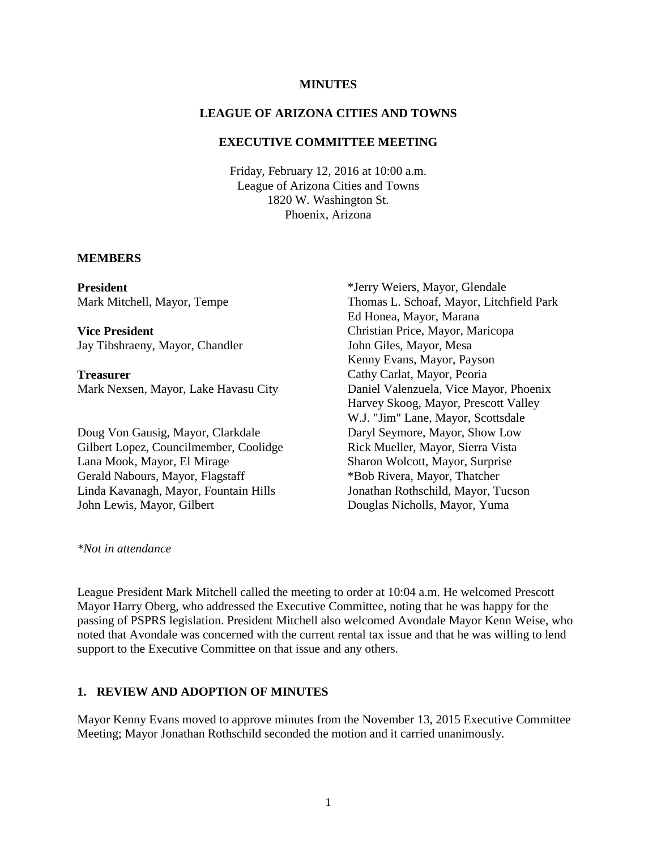#### **MINUTES**

### **LEAGUE OF ARIZONA CITIES AND TOWNS**

#### **EXECUTIVE COMMITTEE MEETING**

Friday, February 12, 2016 at 10:00 a.m. League of Arizona Cities and Towns 1820 W. Washington St. Phoenix, Arizona

### **MEMBERS**

**President** Mark Mitchell, Mayor, Tempe

**Vice President** Jay Tibshraeny, Mayor, Chandler

**Treasurer** Mark Nexsen, Mayor, Lake Havasu City

Doug Von Gausig, Mayor, Clarkdale Gilbert Lopez, Councilmember, Coolidge Lana Mook, Mayor, El Mirage Gerald Nabours, Mayor, Flagstaff Linda Kavanagh, Mayor, Fountain Hills John Lewis, Mayor, Gilbert

\*Jerry Weiers, Mayor, Glendale Thomas L. Schoaf, Mayor, Litchfield Park Ed Honea, Mayor, Marana Christian Price, Mayor, Maricopa John Giles, Mayor, Mesa Kenny Evans, Mayor, Payson Cathy Carlat, Mayor, Peoria Daniel Valenzuela, Vice Mayor, Phoenix Harvey Skoog, Mayor, Prescott Valley W.J. "Jim" Lane, Mayor, Scottsdale Daryl Seymore, Mayor, Show Low Rick Mueller, Mayor, Sierra Vista Sharon Wolcott, Mayor, Surprise \*Bob Rivera, Mayor, Thatcher Jonathan Rothschild, Mayor, Tucson Douglas Nicholls, Mayor, Yuma

*\*Not in attendance*

League President Mark Mitchell called the meeting to order at 10:04 a.m. He welcomed Prescott Mayor Harry Oberg, who addressed the Executive Committee, noting that he was happy for the passing of PSPRS legislation. President Mitchell also welcomed Avondale Mayor Kenn Weise, who noted that Avondale was concerned with the current rental tax issue and that he was willing to lend support to the Executive Committee on that issue and any others.

### **1. REVIEW AND ADOPTION OF MINUTES**

Mayor Kenny Evans moved to approve minutes from the November 13, 2015 Executive Committee Meeting; Mayor Jonathan Rothschild seconded the motion and it carried unanimously.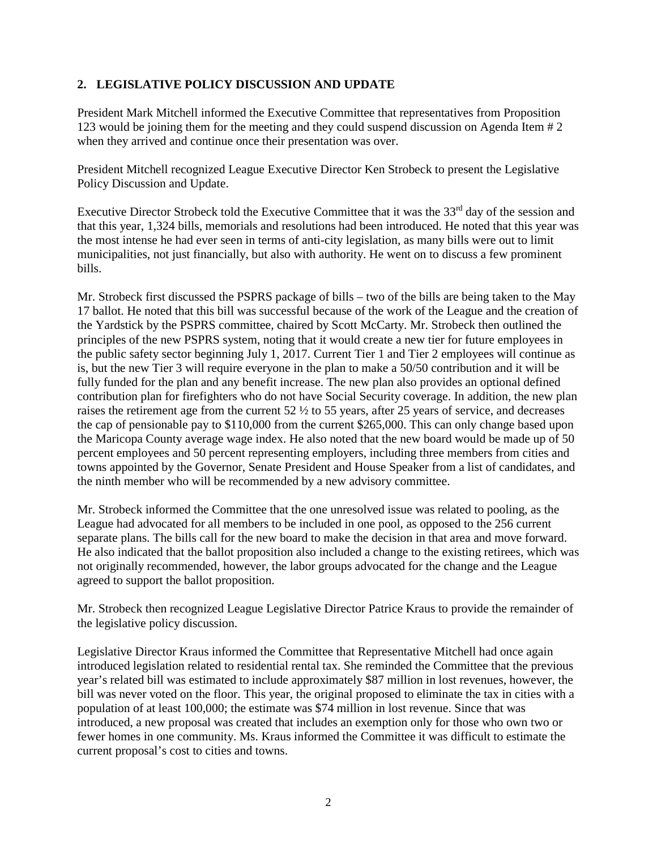### **2. LEGISLATIVE POLICY DISCUSSION AND UPDATE**

President Mark Mitchell informed the Executive Committee that representatives from Proposition 123 would be joining them for the meeting and they could suspend discussion on Agenda Item # 2 when they arrived and continue once their presentation was over.

President Mitchell recognized League Executive Director Ken Strobeck to present the Legislative Policy Discussion and Update.

Executive Director Strobeck told the Executive Committee that it was the 33<sup>rd</sup> day of the session and that this year, 1,324 bills, memorials and resolutions had been introduced. He noted that this year was the most intense he had ever seen in terms of anti-city legislation, as many bills were out to limit municipalities, not just financially, but also with authority. He went on to discuss a few prominent bills.

Mr. Strobeck first discussed the PSPRS package of bills – two of the bills are being taken to the May 17 ballot. He noted that this bill was successful because of the work of the League and the creation of the Yardstick by the PSPRS committee, chaired by Scott McCarty. Mr. Strobeck then outlined the principles of the new PSPRS system, noting that it would create a new tier for future employees in the public safety sector beginning July 1, 2017. Current Tier 1 and Tier 2 employees will continue as is, but the new Tier 3 will require everyone in the plan to make a 50/50 contribution and it will be fully funded for the plan and any benefit increase. The new plan also provides an optional defined contribution plan for firefighters who do not have Social Security coverage. In addition, the new plan raises the retirement age from the current 52 ½ to 55 years, after 25 years of service, and decreases the cap of pensionable pay to \$110,000 from the current \$265,000. This can only change based upon the Maricopa County average wage index. He also noted that the new board would be made up of 50 percent employees and 50 percent representing employers, including three members from cities and towns appointed by the Governor, Senate President and House Speaker from a list of candidates, and the ninth member who will be recommended by a new advisory committee.

Mr. Strobeck informed the Committee that the one unresolved issue was related to pooling, as the League had advocated for all members to be included in one pool, as opposed to the 256 current separate plans. The bills call for the new board to make the decision in that area and move forward. He also indicated that the ballot proposition also included a change to the existing retirees, which was not originally recommended, however, the labor groups advocated for the change and the League agreed to support the ballot proposition.

Mr. Strobeck then recognized League Legislative Director Patrice Kraus to provide the remainder of the legislative policy discussion.

Legislative Director Kraus informed the Committee that Representative Mitchell had once again introduced legislation related to residential rental tax. She reminded the Committee that the previous year's related bill was estimated to include approximately \$87 million in lost revenues, however, the bill was never voted on the floor. This year, the original proposed to eliminate the tax in cities with a population of at least 100,000; the estimate was \$74 million in lost revenue. Since that was introduced, a new proposal was created that includes an exemption only for those who own two or fewer homes in one community. Ms. Kraus informed the Committee it was difficult to estimate the current proposal's cost to cities and towns.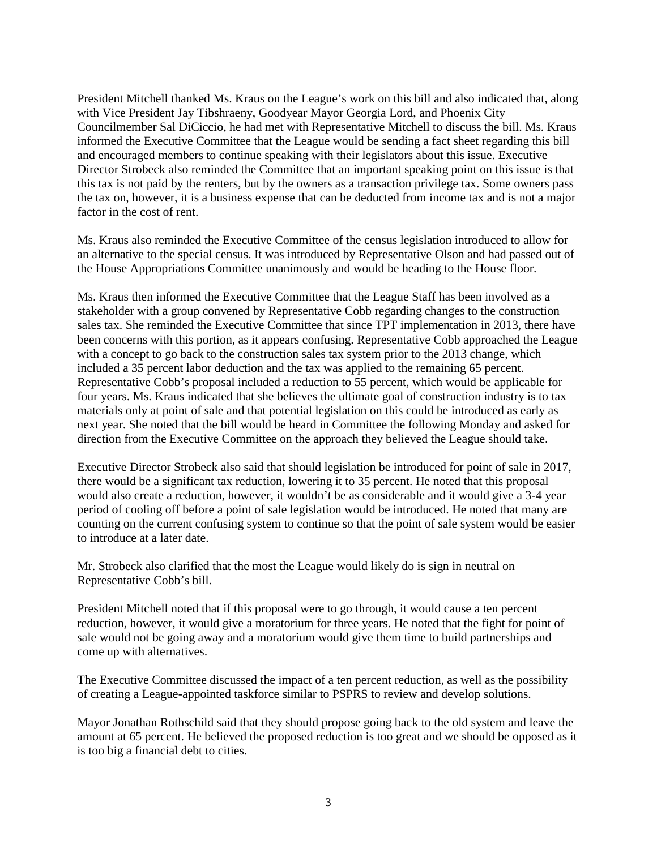President Mitchell thanked Ms. Kraus on the League's work on this bill and also indicated that, along with Vice President Jay Tibshraeny, Goodyear Mayor Georgia Lord, and Phoenix City Councilmember Sal DiCiccio, he had met with Representative Mitchell to discuss the bill. Ms. Kraus informed the Executive Committee that the League would be sending a fact sheet regarding this bill and encouraged members to continue speaking with their legislators about this issue. Executive Director Strobeck also reminded the Committee that an important speaking point on this issue is that this tax is not paid by the renters, but by the owners as a transaction privilege tax. Some owners pass the tax on, however, it is a business expense that can be deducted from income tax and is not a major factor in the cost of rent.

Ms. Kraus also reminded the Executive Committee of the census legislation introduced to allow for an alternative to the special census. It was introduced by Representative Olson and had passed out of the House Appropriations Committee unanimously and would be heading to the House floor.

Ms. Kraus then informed the Executive Committee that the League Staff has been involved as a stakeholder with a group convened by Representative Cobb regarding changes to the construction sales tax. She reminded the Executive Committee that since TPT implementation in 2013, there have been concerns with this portion, as it appears confusing. Representative Cobb approached the League with a concept to go back to the construction sales tax system prior to the 2013 change, which included a 35 percent labor deduction and the tax was applied to the remaining 65 percent. Representative Cobb's proposal included a reduction to 55 percent, which would be applicable for four years. Ms. Kraus indicated that she believes the ultimate goal of construction industry is to tax materials only at point of sale and that potential legislation on this could be introduced as early as next year. She noted that the bill would be heard in Committee the following Monday and asked for direction from the Executive Committee on the approach they believed the League should take.

Executive Director Strobeck also said that should legislation be introduced for point of sale in 2017, there would be a significant tax reduction, lowering it to 35 percent. He noted that this proposal would also create a reduction, however, it wouldn't be as considerable and it would give a 3-4 year period of cooling off before a point of sale legislation would be introduced. He noted that many are counting on the current confusing system to continue so that the point of sale system would be easier to introduce at a later date.

Mr. Strobeck also clarified that the most the League would likely do is sign in neutral on Representative Cobb's bill.

President Mitchell noted that if this proposal were to go through, it would cause a ten percent reduction, however, it would give a moratorium for three years. He noted that the fight for point of sale would not be going away and a moratorium would give them time to build partnerships and come up with alternatives.

The Executive Committee discussed the impact of a ten percent reduction, as well as the possibility of creating a League-appointed taskforce similar to PSPRS to review and develop solutions.

Mayor Jonathan Rothschild said that they should propose going back to the old system and leave the amount at 65 percent. He believed the proposed reduction is too great and we should be opposed as it is too big a financial debt to cities.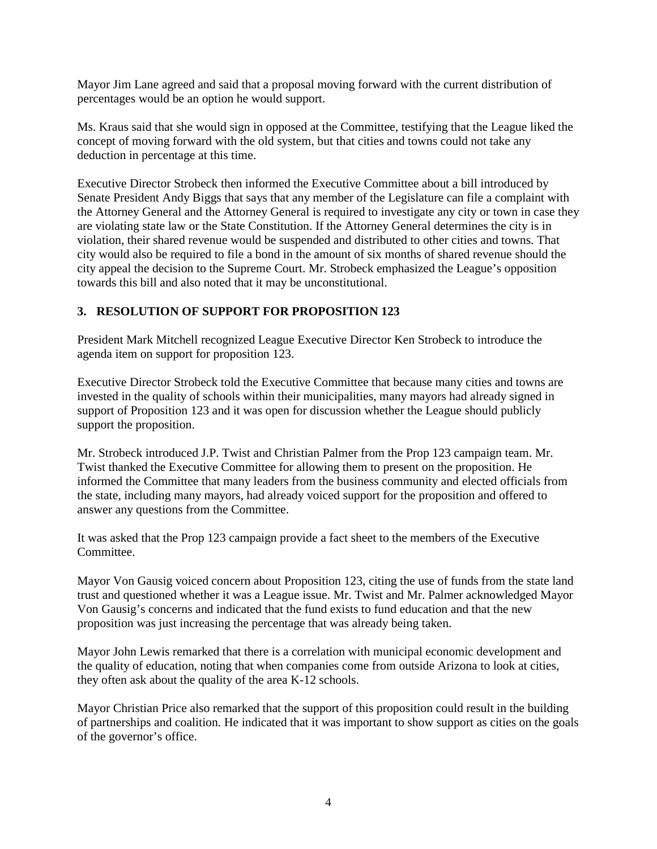Mayor Jim Lane agreed and said that a proposal moving forward with the current distribution of percentages would be an option he would support.

Ms. Kraus said that she would sign in opposed at the Committee, testifying that the League liked the concept of moving forward with the old system, but that cities and towns could not take any deduction in percentage at this time.

Executive Director Strobeck then informed the Executive Committee about a bill introduced by Senate President Andy Biggs that says that any member of the Legislature can file a complaint with the Attorney General and the Attorney General is required to investigate any city or town in case they are violating state law or the State Constitution. If the Attorney General determines the city is in violation, their shared revenue would be suspended and distributed to other cities and towns. That city would also be required to file a bond in the amount of six months of shared revenue should the city appeal the decision to the Supreme Court. Mr. Strobeck emphasized the League's opposition towards this bill and also noted that it may be unconstitutional.

## **3. RESOLUTION OF SUPPORT FOR PROPOSITION 123**

President Mark Mitchell recognized League Executive Director Ken Strobeck to introduce the agenda item on support for proposition 123.

Executive Director Strobeck told the Executive Committee that because many cities and towns are invested in the quality of schools within their municipalities, many mayors had already signed in support of Proposition 123 and it was open for discussion whether the League should publicly support the proposition.

Mr. Strobeck introduced J.P. Twist and Christian Palmer from the Prop 123 campaign team. Mr. Twist thanked the Executive Committee for allowing them to present on the proposition. He informed the Committee that many leaders from the business community and elected officials from the state, including many mayors, had already voiced support for the proposition and offered to answer any questions from the Committee.

It was asked that the Prop 123 campaign provide a fact sheet to the members of the Executive Committee.

Mayor Von Gausig voiced concern about Proposition 123, citing the use of funds from the state land trust and questioned whether it was a League issue. Mr. Twist and Mr. Palmer acknowledged Mayor Von Gausig's concerns and indicated that the fund exists to fund education and that the new proposition was just increasing the percentage that was already being taken.

Mayor John Lewis remarked that there is a correlation with municipal economic development and the quality of education, noting that when companies come from outside Arizona to look at cities, they often ask about the quality of the area K-12 schools.

Mayor Christian Price also remarked that the support of this proposition could result in the building of partnerships and coalition. He indicated that it was important to show support as cities on the goals of the governor's office.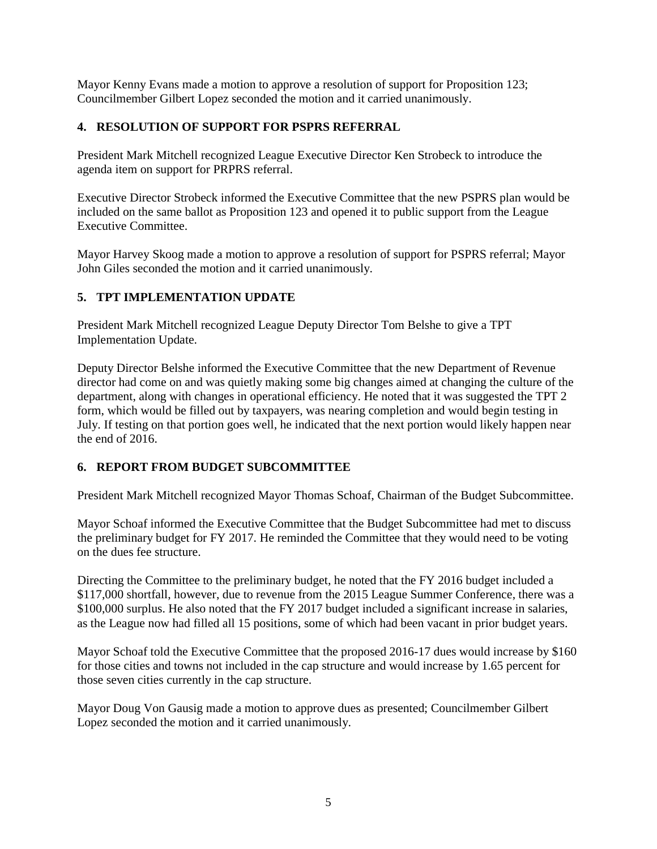Mayor Kenny Evans made a motion to approve a resolution of support for Proposition 123; Councilmember Gilbert Lopez seconded the motion and it carried unanimously.

# **4. RESOLUTION OF SUPPORT FOR PSPRS REFERRAL**

President Mark Mitchell recognized League Executive Director Ken Strobeck to introduce the agenda item on support for PRPRS referral.

Executive Director Strobeck informed the Executive Committee that the new PSPRS plan would be included on the same ballot as Proposition 123 and opened it to public support from the League Executive Committee.

Mayor Harvey Skoog made a motion to approve a resolution of support for PSPRS referral; Mayor John Giles seconded the motion and it carried unanimously.

## **5. TPT IMPLEMENTATION UPDATE**

President Mark Mitchell recognized League Deputy Director Tom Belshe to give a TPT Implementation Update.

Deputy Director Belshe informed the Executive Committee that the new Department of Revenue director had come on and was quietly making some big changes aimed at changing the culture of the department, along with changes in operational efficiency. He noted that it was suggested the TPT 2 form, which would be filled out by taxpayers, was nearing completion and would begin testing in July. If testing on that portion goes well, he indicated that the next portion would likely happen near the end of 2016.

## **6. REPORT FROM BUDGET SUBCOMMITTEE**

President Mark Mitchell recognized Mayor Thomas Schoaf, Chairman of the Budget Subcommittee.

Mayor Schoaf informed the Executive Committee that the Budget Subcommittee had met to discuss the preliminary budget for FY 2017. He reminded the Committee that they would need to be voting on the dues fee structure.

Directing the Committee to the preliminary budget, he noted that the FY 2016 budget included a \$117,000 shortfall, however, due to revenue from the 2015 League Summer Conference, there was a \$100,000 surplus. He also noted that the FY 2017 budget included a significant increase in salaries, as the League now had filled all 15 positions, some of which had been vacant in prior budget years.

Mayor Schoaf told the Executive Committee that the proposed 2016-17 dues would increase by \$160 for those cities and towns not included in the cap structure and would increase by 1.65 percent for those seven cities currently in the cap structure.

Mayor Doug Von Gausig made a motion to approve dues as presented; Councilmember Gilbert Lopez seconded the motion and it carried unanimously.